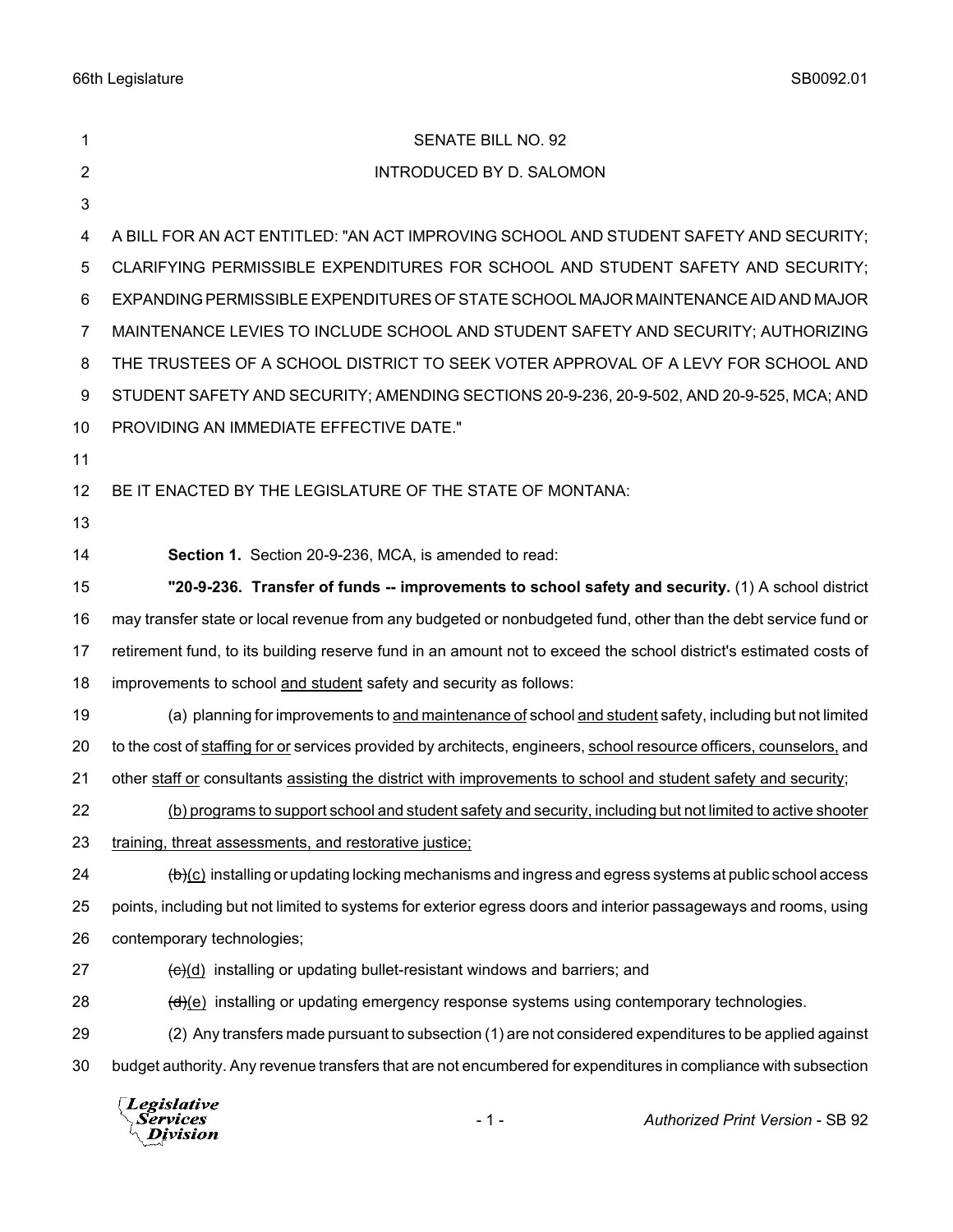| 1  | SENATE BILL NO. 92                                                                                                          |
|----|-----------------------------------------------------------------------------------------------------------------------------|
| 2  | <b>INTRODUCED BY D. SALOMON</b>                                                                                             |
| 3  |                                                                                                                             |
| 4  | A BILL FOR AN ACT ENTITLED: "AN ACT IMPROVING SCHOOL AND STUDENT SAFETY AND SECURITY;                                       |
| 5  | CLARIFYING PERMISSIBLE EXPENDITURES FOR SCHOOL AND STUDENT SAFETY AND SECURITY;                                             |
| 6  | EXPANDING PERMISSIBLE EXPENDITURES OF STATE SCHOOL MAJOR MAINTENANCE AID AND MAJOR                                          |
| 7  | MAINTENANCE LEVIES TO INCLUDE SCHOOL AND STUDENT SAFETY AND SECURITY; AUTHORIZING                                           |
| 8  | THE TRUSTEES OF A SCHOOL DISTRICT TO SEEK VOTER APPROVAL OF A LEVY FOR SCHOOL AND                                           |
| 9  | STUDENT SAFETY AND SECURITY; AMENDING SECTIONS 20-9-236, 20-9-502, AND 20-9-525, MCA; AND                                   |
| 10 | PROVIDING AN IMMEDIATE EFFECTIVE DATE."                                                                                     |
| 11 |                                                                                                                             |
| 12 | BE IT ENACTED BY THE LEGISLATURE OF THE STATE OF MONTANA:                                                                   |
| 13 |                                                                                                                             |
| 14 | Section 1. Section 20-9-236, MCA, is amended to read:                                                                       |
| 15 | "20-9-236. Transfer of funds -- improvements to school safety and security. (1) A school district                           |
| 16 | may transfer state or local revenue from any budgeted or nonbudgeted fund, other than the debt service fund or              |
| 17 | retirement fund, to its building reserve fund in an amount not to exceed the school district's estimated costs of           |
| 18 | improvements to school and student safety and security as follows:                                                          |
| 19 | (a) planning for improvements to and maintenance of school and student safety, including but not limited                    |
| 20 | to the cost of staffing for or services provided by architects, engineers, school resource officers, counselors, and        |
| 21 | other staff or consultants assisting the district with improvements to school and student safety and security;              |
| 22 | (b) programs to support school and student safety and security, including but not limited to active shooter                 |
| 23 | training, threat assessments, and restorative justice;                                                                      |
| 24 | $\left(\frac{b}{c}\right)$ installing or updating locking mechanisms and ingress and egress systems at public school access |
| 25 | points, including but not limited to systems for exterior egress doors and interior passageways and rooms, using            |
| 26 | contemporary technologies;                                                                                                  |
| 27 | $\frac{1}{2}$ installing or updating bullet-resistant windows and barriers; and                                             |
| 28 | $\left(\frac{d}{e}\right)$ installing or updating emergency response systems using contemporary technologies.               |
| 29 | (2) Any transfers made pursuant to subsection (1) are not considered expenditures to be applied against                     |
| 30 | budget authority. Any revenue transfers that are not encumbered for expenditures in compliance with subsection              |
|    | <i>Legislative</i>                                                                                                          |

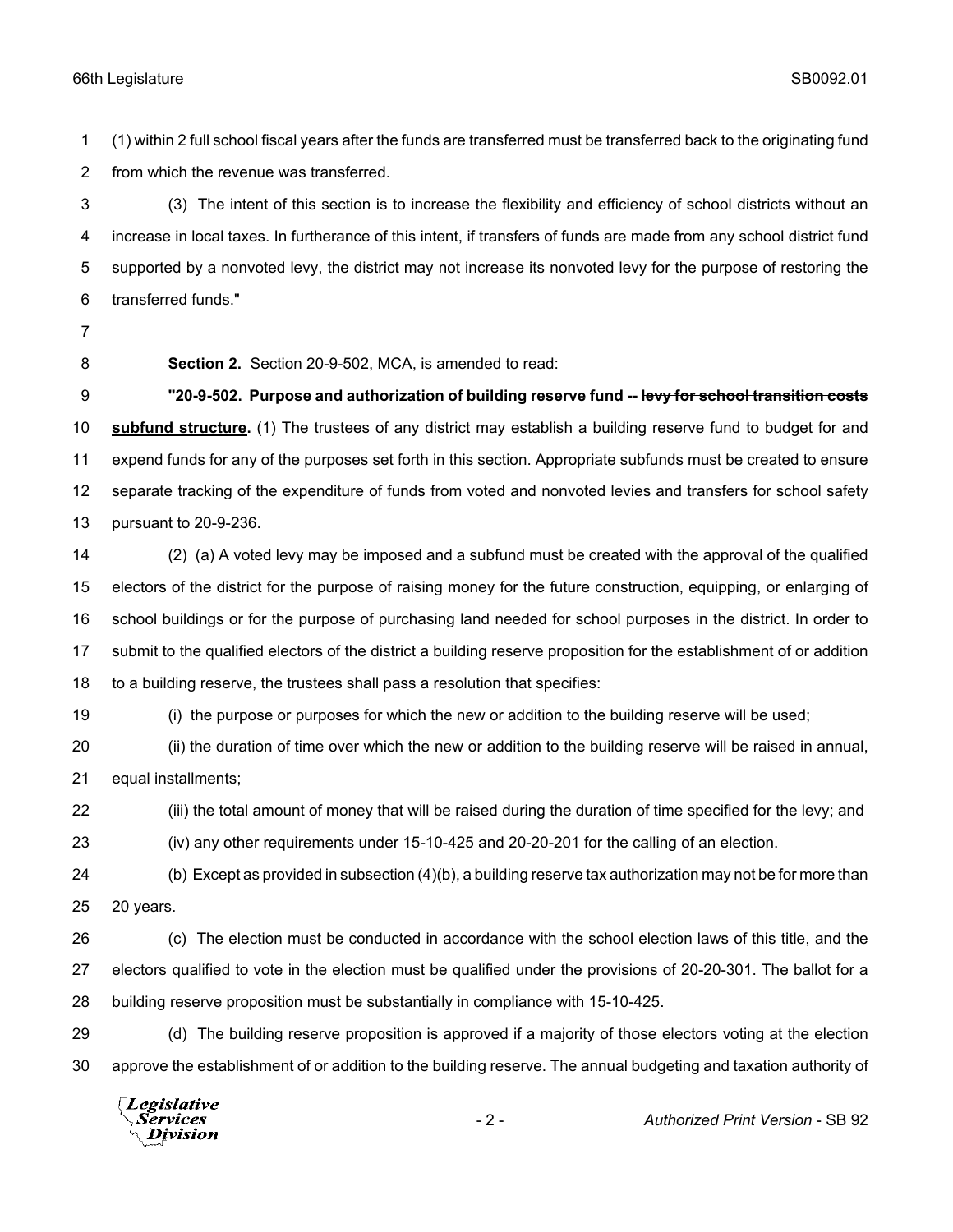(1) within 2 full school fiscal years after the funds are transferred must be transferred back to the originating fund from which the revenue was transferred.

 (3) The intent of this section is to increase the flexibility and efficiency of school districts without an increase in local taxes. In furtherance of this intent, if transfers of funds are made from any school district fund supported by a nonvoted levy, the district may not increase its nonvoted levy for the purpose of restoring the transferred funds."

- 
- 

**Section 2.** Section 20-9-502, MCA, is amended to read:

 **"20-9-502. Purpose and authorization of building reserve fund -- levy for school transition costs subfund structure.** (1) The trustees of any district may establish a building reserve fund to budget for and expend funds for any of the purposes set forth in this section. Appropriate subfunds must be created to ensure separate tracking of the expenditure of funds from voted and nonvoted levies and transfers for school safety pursuant to 20-9-236.

 (2) (a) A voted levy may be imposed and a subfund must be created with the approval of the qualified electors of the district for the purpose of raising money for the future construction, equipping, or enlarging of school buildings or for the purpose of purchasing land needed for school purposes in the district. In order to submit to the qualified electors of the district a building reserve proposition for the establishment of or addition to a building reserve, the trustees shall pass a resolution that specifies:

(i) the purpose or purposes for which the new or addition to the building reserve will be used;

 (ii) the duration of time over which the new or addition to the building reserve will be raised in annual, equal installments;

 (iii) the total amount of money that will be raised during the duration of time specified for the levy; and (iv) any other requirements under 15-10-425 and 20-20-201 for the calling of an election.

 (b) Except as provided in subsection (4)(b), a building reserve tax authorization may not be for more than 20 years.

 (c) The election must be conducted in accordance with the school election laws of this title, and the electors qualified to vote in the election must be qualified under the provisions of 20-20-301. The ballot for a building reserve proposition must be substantially in compliance with 15-10-425.

 (d) The building reserve proposition is approved if a majority of those electors voting at the election approve the establishment of or addition to the building reserve. The annual budgeting and taxation authority of

Legislative Services **Division**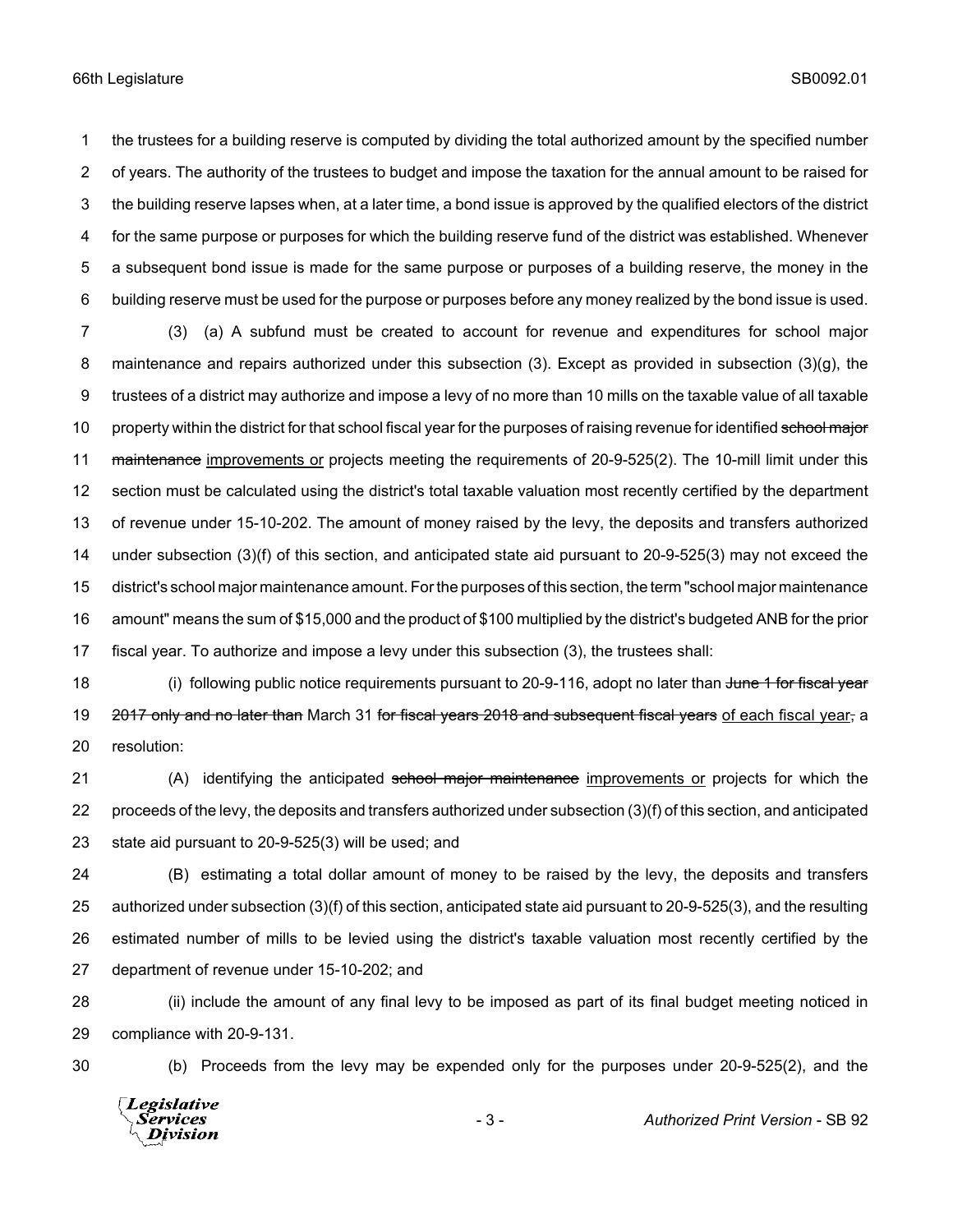the trustees for a building reserve is computed by dividing the total authorized amount by the specified number of years. The authority of the trustees to budget and impose the taxation for the annual amount to be raised for the building reserve lapses when, at a later time, a bond issue is approved by the qualified electors of the district for the same purpose or purposes for which the building reserve fund of the district was established. Whenever a subsequent bond issue is made for the same purpose or purposes of a building reserve, the money in the building reserve must be used for the purpose or purposes before any money realized by the bond issue is used.

 (3) (a) A subfund must be created to account for revenue and expenditures for school major maintenance and repairs authorized under this subsection (3). Except as provided in subsection (3)(g), the trustees of a district may authorize and impose a levy of no more than 10 mills on the taxable value of all taxable 10 property within the district for that school fiscal year for the purposes of raising revenue for identified school major 11 maintenance improvements or projects meeting the requirements of 20-9-525(2). The 10-mill limit under this section must be calculated using the district's total taxable valuation most recently certified by the department of revenue under 15-10-202. The amount of money raised by the levy, the deposits and transfers authorized under subsection (3)(f) of this section, and anticipated state aid pursuant to 20-9-525(3) may not exceed the district's school major maintenance amount. For the purposes of this section, the term "school major maintenance amount" means the sum of \$15,000 and the product of \$100 multiplied by the district's budgeted ANB for the prior fiscal year. To authorize and impose a levy under this subsection (3), the trustees shall:

18 (i) following public notice requirements pursuant to 20-9-116, adopt no later than June 1 for fiscal year 19 2017 only and no later than March 31 for fiscal years 2018 and subsequent fiscal years of each fiscal year, a resolution:

21 (A) identifying the anticipated school major maintenance improvements or projects for which the proceeds of the levy, the deposits and transfers authorized under subsection (3)(f) of this section, and anticipated state aid pursuant to 20-9-525(3) will be used; and

 (B) estimating a total dollar amount of money to be raised by the levy, the deposits and transfers authorized under subsection (3)(f) of this section, anticipated state aid pursuant to 20-9-525(3), and the resulting estimated number of mills to be levied using the district's taxable valuation most recently certified by the department of revenue under 15-10-202; and

 (ii) include the amount of any final levy to be imposed as part of its final budget meeting noticed in compliance with 20-9-131.

(b) Proceeds from the levy may be expended only for the purposes under 20-9-525(2), and the

Legislative Services **Division**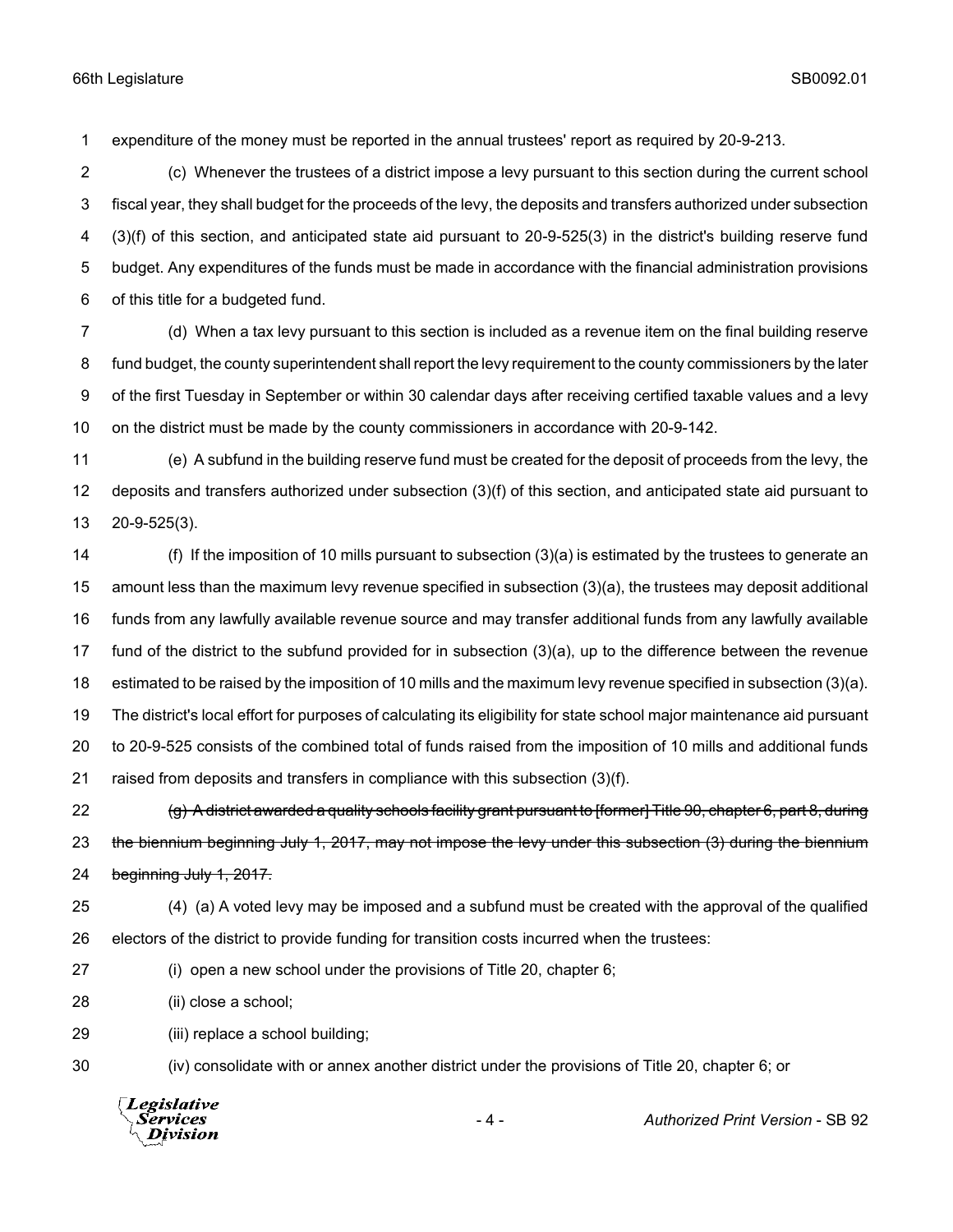expenditure of the money must be reported in the annual trustees' report as required by 20-9-213.

 (c) Whenever the trustees of a district impose a levy pursuant to this section during the current school fiscal year, they shall budget for the proceeds of the levy, the deposits and transfers authorized under subsection (3)(f) of this section, and anticipated state aid pursuant to 20-9-525(3) in the district's building reserve fund budget. Any expenditures of the funds must be made in accordance with the financial administration provisions of this title for a budgeted fund.

 (d) When a tax levy pursuant to this section is included as a revenue item on the final building reserve fund budget, the county superintendent shall report the levy requirement to the county commissioners by the later of the first Tuesday in September or within 30 calendar days after receiving certified taxable values and a levy on the district must be made by the county commissioners in accordance with 20-9-142.

 (e) A subfund in the building reserve fund must be created for the deposit of proceeds from the levy, the deposits and transfers authorized under subsection (3)(f) of this section, and anticipated state aid pursuant to 20-9-525(3).

 (f) If the imposition of 10 mills pursuant to subsection (3)(a) is estimated by the trustees to generate an amount less than the maximum levy revenue specified in subsection (3)(a), the trustees may deposit additional funds from any lawfully available revenue source and may transfer additional funds from any lawfully available fund of the district to the subfund provided for in subsection (3)(a), up to the difference between the revenue estimated to be raised by the imposition of 10 mills and the maximum levy revenue specified in subsection (3)(a). The district's local effort for purposes of calculating its eligibility for state school major maintenance aid pursuant to 20-9-525 consists of the combined total of funds raised from the imposition of 10 mills and additional funds raised from deposits and transfers in compliance with this subsection (3)(f).

22 (g) A district awarded a quality schools facility grant pursuant to [former] Title 90, chapter 6, part 8, during 23 the biennium beginning July 1, 2017, may not impose the levy under this subsection (3) during the biennium beginning July 1, 2017.

- (4) (a) A voted levy may be imposed and a subfund must be created with the approval of the qualified electors of the district to provide funding for transition costs incurred when the trustees:
- (i) open a new school under the provisions of Title 20, chapter 6;
- (ii) close a school;

(iii) replace a school building;

(iv) consolidate with or annex another district under the provisions of Title 20, chapter 6; or

**Legislative** *Services* Division

- 4 - *Authorized Print Version* - SB 92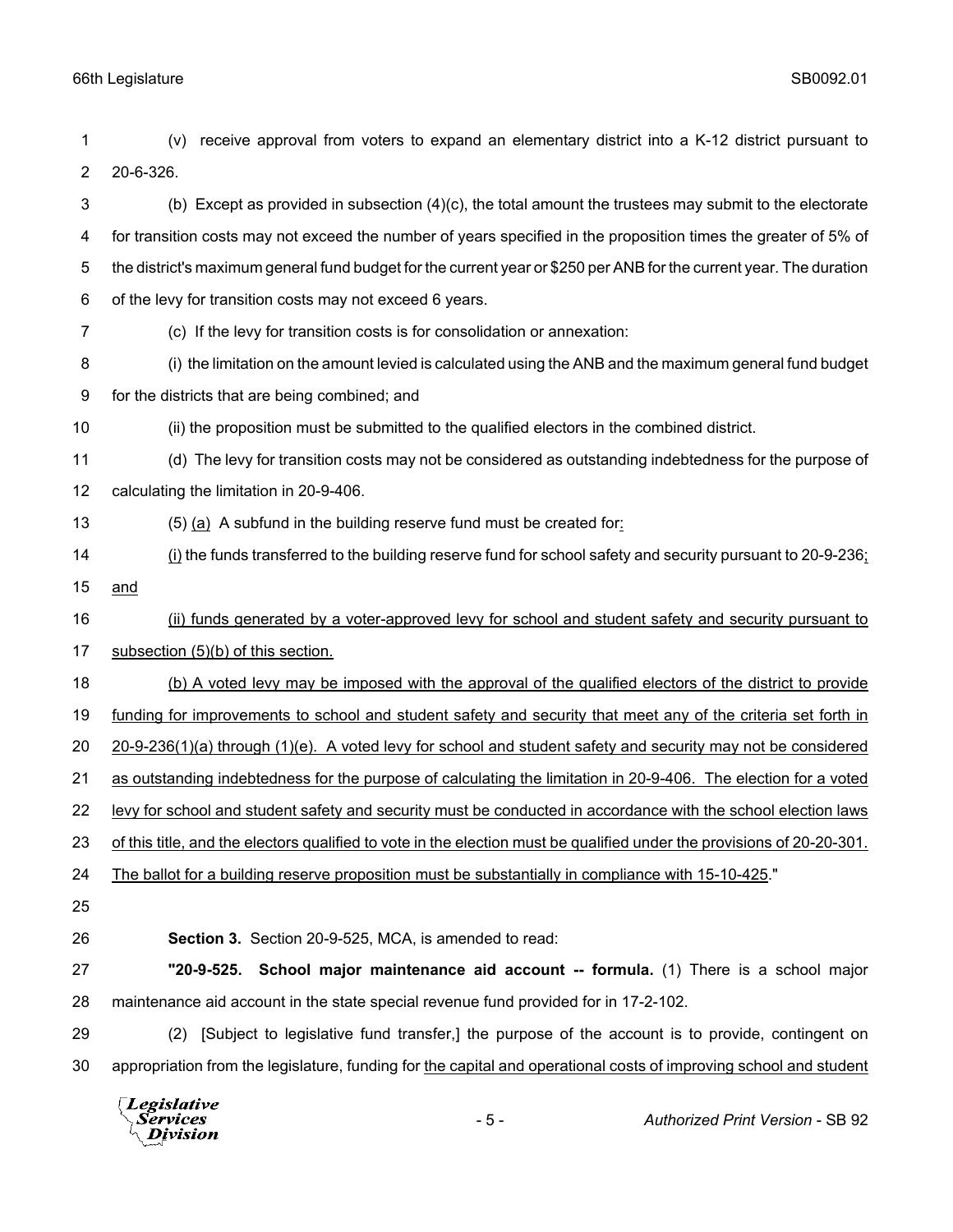| 1              | receive approval from voters to expand an elementary district into a K-12 district pursuant to<br>(v)                  |
|----------------|------------------------------------------------------------------------------------------------------------------------|
| $\overline{2}$ | 20-6-326.                                                                                                              |
| 3              | (b) Except as provided in subsection (4)(c), the total amount the trustees may submit to the electorate                |
| 4              | for transition costs may not exceed the number of years specified in the proposition times the greater of 5% of        |
| 5              | the district's maximum general fund budget for the current year or \$250 per ANB for the current year. The duration    |
| 6              | of the levy for transition costs may not exceed 6 years.                                                               |
| 7              | (c) If the levy for transition costs is for consolidation or annexation:                                               |
| 8              | (i) the limitation on the amount levied is calculated using the ANB and the maximum general fund budget                |
| 9              | for the districts that are being combined; and                                                                         |
| 10             | (ii) the proposition must be submitted to the qualified electors in the combined district.                             |
| 11             | (d) The levy for transition costs may not be considered as outstanding indebtedness for the purpose of                 |
| 12             | calculating the limitation in 20-9-406.                                                                                |
| 13             | (5) (a) A subfund in the building reserve fund must be created for:                                                    |
| 14             | (i) the funds transferred to the building reserve fund for school safety and security pursuant to 20-9-236;            |
| 15             | and                                                                                                                    |
| 16             | (ii) funds generated by a voter-approved levy for school and student safety and security pursuant to                   |
| 17             | subsection (5)(b) of this section.                                                                                     |
| 18             | (b) A voted levy may be imposed with the approval of the qualified electors of the district to provide                 |
| 19             | funding for improvements to school and student safety and security that meet any of the criteria set forth in          |
| 20             | 20-9-236(1)(a) through (1)(e). A voted levy for school and student safety and security may not be considered           |
| 21             | as outstanding indebtedness for the purpose of calculating the limitation in 20-9-406. The election for a voted        |
| 22             | levy for school and student safety and security must be conducted in accordance with the school election laws          |
| 23             | of this title, and the electors qualified to vote in the election must be qualified under the provisions of 20-20-301. |
| 24             | The ballot for a building reserve proposition must be substantially in compliance with 15-10-425."                     |
| 25             |                                                                                                                        |
| 26             | Section 3. Section 20-9-525, MCA, is amended to read:                                                                  |
| 27             | School major maintenance aid account -- formula. (1) There is a school major<br>"20-9-525.                             |
| 28             | maintenance aid account in the state special revenue fund provided for in 17-2-102.                                    |
| 29             | (2) [Subject to legislative fund transfer,] the purpose of the account is to provide, contingent on                    |
| 30             | appropriation from the legislature, funding for the capital and operational costs of improving school and student      |
|                | <i>Legislative</i>                                                                                                     |

Services<br>*Division*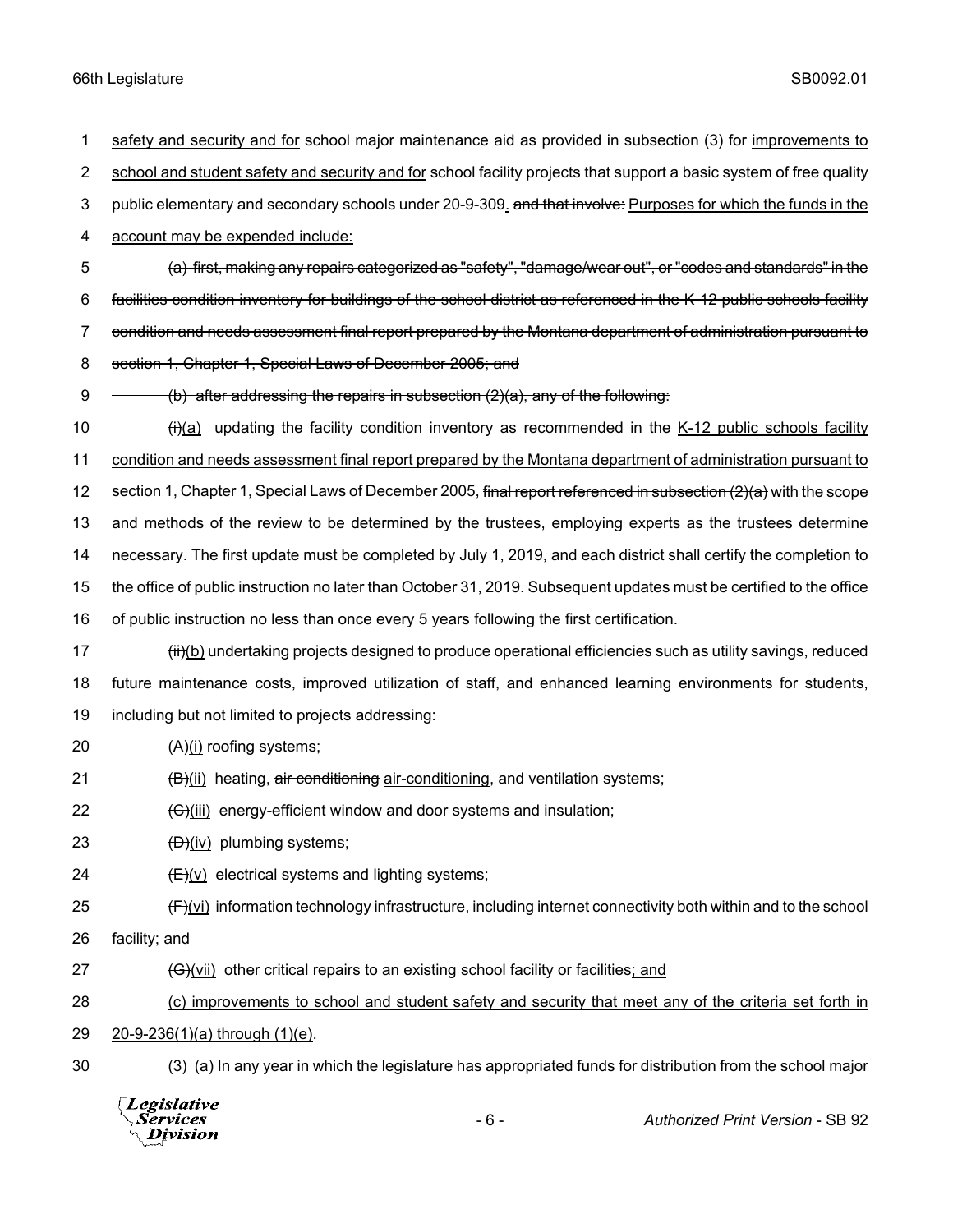safety and security and for school major maintenance aid as provided in subsection (3) for improvements to 2 school and student safety and security and for school facility projects that support a basic system of free quality 3 public elementary and secondary schools under 20-9-309. and that involve: Purposes for which the funds in the account may be expended include: (a) first, making any repairs categorized as "safety", "damage/wear out", or "codes and standards" in the facilities condition inventory for buildings of the school district as referenced in the K-12 public schools facility condition and needs assessment final report prepared by the Montana department of administration pursuant to section 1, Chapter 1, Special Laws of December 2005; and  $\rightarrow$  (b) after addressing the repairs in subsection (2)(a), any of the following:  $(i)(a)$  updating the facility condition inventory as recommended in the K-12 public schools facility condition and needs assessment final report prepared by the Montana department of administration pursuant to 12 section 1, Chapter 1, Special Laws of December 2005, final report referenced in subsection (2)(a) with the scope and methods of the review to be determined by the trustees, employing experts as the trustees determine necessary. The first update must be completed by July 1, 2019, and each district shall certify the completion to the office of public instruction no later than October 31, 2019. Subsequent updates must be certified to the office of public instruction no less than once every 5 years following the first certification. 17 (iii)(b) undertaking projects designed to produce operational efficiencies such as utility savings, reduced future maintenance costs, improved utilization of staff, and enhanced learning environments for students, including but not limited to projects addressing:  $(A)(i)$  roofing systems;  $\left(\frac{B}{\mu}\right)$  heating, air conditioning air-conditioning, and ventilation systems;  $\left(\frac{C}{\text{Hil}}\right)$  energy-efficient window and door systems and insulation;  $(D)(iv)$  plumbing systems;  $(E)(v)$  electrical systems and lighting systems;  $(F)(v)$  information technology infrastructure, including internet connectivity both within and to the school facility; and  $\left(\Theta\right)$ (vii) other critical repairs to an existing school facility or facilities; and (c) improvements to school and student safety and security that meet any of the criteria set forth in 20-9-236(1)(a) through (1)(e). (3) (a) In any year in which the legislature has appropriated funds for distribution from the school major Legislative

- 6 - *Authorized Print Version* - SB 92Services **Division**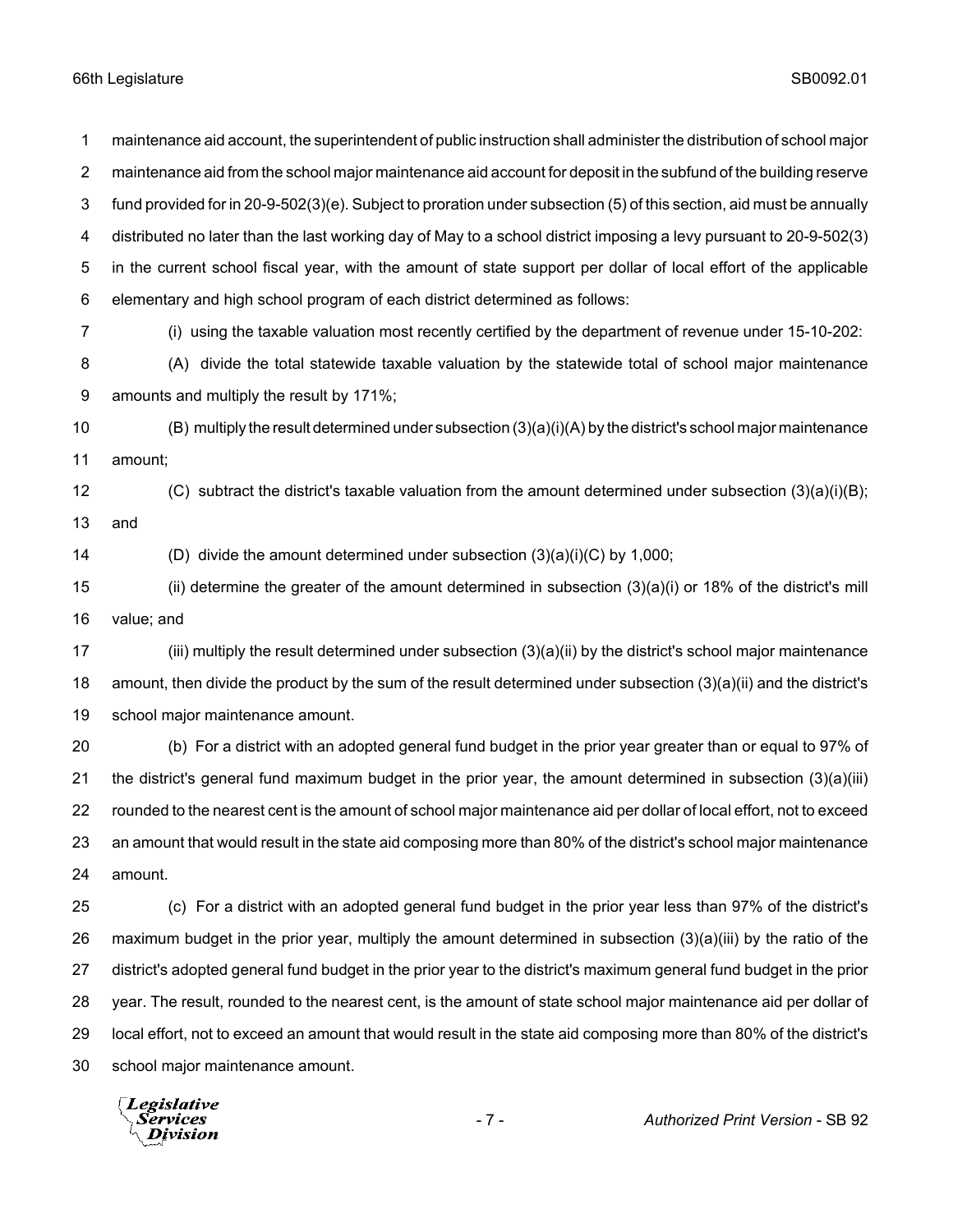maintenance aid account, the superintendent of public instruction shall administer the distribution of school major maintenance aid from the school major maintenance aid account for deposit in the subfund of the building reserve fund provided for in 20-9-502(3)(e). Subject to proration under subsection (5) of this section, aid must be annually distributed no later than the last working day of May to a school district imposing a levy pursuant to 20-9-502(3) in the current school fiscal year, with the amount of state support per dollar of local effort of the applicable elementary and high school program of each district determined as follows: (i) using the taxable valuation most recently certified by the department of revenue under 15-10-202: (A) divide the total statewide taxable valuation by the statewide total of school major maintenance amounts and multiply the result by 171%;

 (B) multiply the result determined under subsection (3)(a)(i)(A) by the district's school major maintenance amount;

 (C) subtract the district's taxable valuation from the amount determined under subsection (3)(a)(i)(B); and

(D) divide the amount determined under subsection (3)(a)(i)(C) by 1,000;

 (ii) determine the greater of the amount determined in subsection (3)(a)(i) or 18% of the district's mill value; and

 (iii) multiply the result determined under subsection (3)(a)(ii) by the district's school major maintenance amount, then divide the product by the sum of the result determined under subsection (3)(a)(ii) and the district's school major maintenance amount.

 (b) For a district with an adopted general fund budget in the prior year greater than or equal to 97% of the district's general fund maximum budget in the prior year, the amount determined in subsection (3)(a)(iii) rounded to the nearest cent is the amount of school major maintenance aid per dollar of local effort, not to exceed an amount that would result in the state aid composing more than 80% of the district's school major maintenance amount.

 (c) For a district with an adopted general fund budget in the prior year less than 97% of the district's maximum budget in the prior year, multiply the amount determined in subsection (3)(a)(iii) by the ratio of the district's adopted general fund budget in the prior year to the district's maximum general fund budget in the prior year. The result, rounded to the nearest cent, is the amount of state school major maintenance aid per dollar of local effort, not to exceed an amount that would result in the state aid composing more than 80% of the district's school major maintenance amount.

Legislative Services **Division**